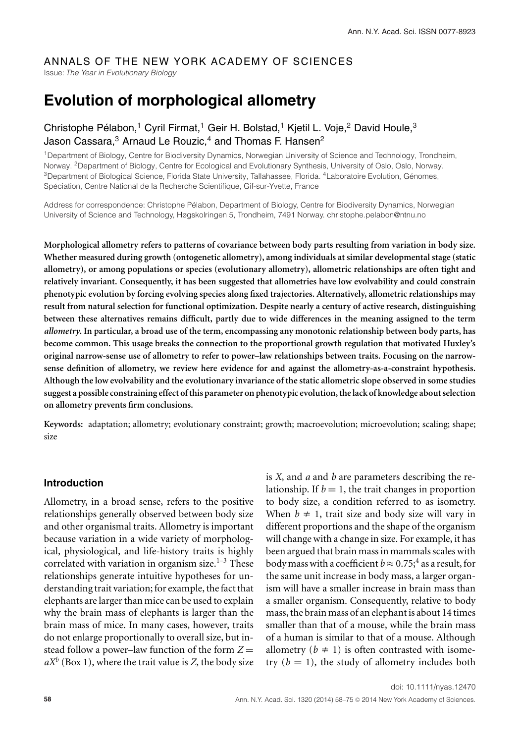# ANNALS OF THE NEW YORK ACADEMY OF SCIENCES

Issue: The Year in Evolutionary Biology

# **Evolution of morphological allometry**

# Christophe Pélabon,<sup>1</sup> Cyril Firmat,<sup>1</sup> Geir H. Bolstad,<sup>1</sup> Kjetil L. Voje,<sup>2</sup> David Houle,<sup>3</sup> Jason Cassara,<sup>3</sup> Arnaud Le Rouzic,<sup>4</sup> and Thomas F. Hansen<sup>2</sup>

1Department of Biology, Centre for Biodiversity Dynamics, Norwegian University of Science and Technology, Trondheim, Norway. <sup>2</sup>Department of Biology, Centre for Ecological and Evolutionary Synthesis, University of Oslo, Oslo, Norway. 3Department of Biological Science, Florida State University, Tallahassee, Florida. 4Laboratoire Evolution, Genomes, ´ Speciation, Centre National de la Recherche Scientifique, Gif-sur-Yvette, France ´

Address for correspondence: Christophe Pelabon, Department of Biology, Centre for Biodiversity Dynamics, Norwegian ´ University of Science and Technology, Høgskolringen 5, Trondheim, 7491 Norway. christophe.pelabon@ntnu.no

**Morphological allometry refers to patterns of covariance between body parts resulting from variation in body size. Whether measured during growth (ontogenetic allometry), among individuals at similar developmental stage (static allometry), or among populations or species (evolutionary allometry), allometric relationships are often tight and relatively invariant. Consequently, it has been suggested that allometries have low evolvability and could constrain phenotypic evolution by forcing evolving species along fixed trajectories. Alternatively, allometric relationships may result from natural selection for functional optimization. Despite nearly a century of active research, distinguishing between these alternatives remains difficult, partly due to wide differences in the meaning assigned to the term** *allometry***. In particular, a broad use of the term, encompassing any monotonic relationship between body parts, has become common. This usage breaks the connection to the proportional growth regulation that motivated Huxley's original narrow-sense use of allometry to refer to power–law relationships between traits. Focusing on the narrowsense definition of allometry, we review here evidence for and against the allometry-as-a-constraint hypothesis. Although the low evolvability and the evolutionary invariance of the static allometric slope observed in some studies suggest a possible constraining effect of this parameter on phenotypic evolution, the lack of knowledge about selection on allometry prevents firm conclusions.**

**Keywords:** adaptation; allometry; evolutionary constraint; growth; macroevolution; microevolution; scaling; shape; size

#### **Introduction**

Allometry, in a broad sense, refers to the positive relationships generally observed between body size and other organismal traits. Allometry is important because variation in a wide variety of morphological, physiological, and life-history traits is highly correlated with variation in organism size. $1-3$  These relationships generate intuitive hypotheses for understanding trait variation; for example, the fact that elephants are larger than mice can be used to explain why the brain mass of elephants is larger than the brain mass of mice. In many cases, however, traits do not enlarge proportionally to overall size, but instead follow a power–law function of the form  $Z =$  $aX^b$  (Box 1), where the trait value is *Z*, the body size is *X*, and *a* and *b* are parameters describing the relationship. If  $b = 1$ , the trait changes in proportion to body size, a condition referred to as isometry. When  $b \neq 1$ , trait size and body size will vary in different proportions and the shape of the organism will change with a change in size. For example, it has been argued that brain mass in mammals scales with body mass with a coefficient  $b \approx 0.75$ ;<sup>4</sup> as a result, for the same unit increase in body mass, a larger organism will have a smaller increase in brain mass than a smaller organism. Consequently, relative to body mass, the brain mass of an elephant is about 14 times smaller than that of a mouse, while the brain mass of a human is similar to that of a mouse. Although allometry  $(b \neq 1)$  is often contrasted with isometry  $(b = 1)$ , the study of allometry includes both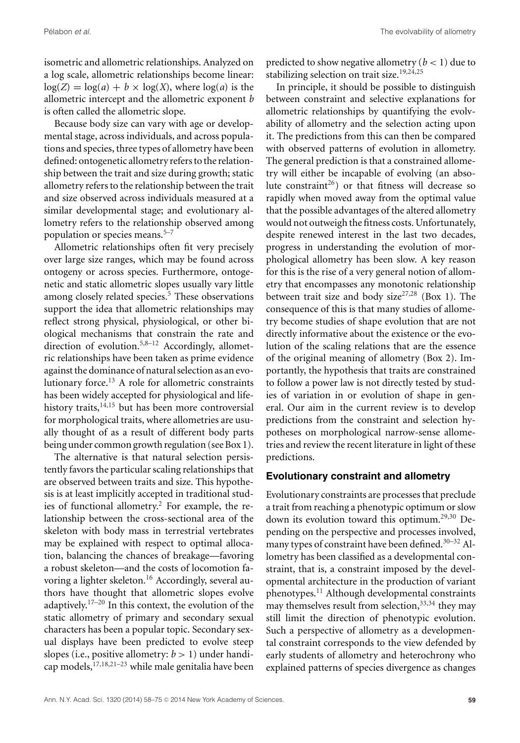isometric and allometric relationships. Analyzed on a log scale, allometric relationships become linear:  $log(Z) = log(a) + b \times log(X)$ , where  $log(a)$  is the allometric intercept and the allometric exponent *b* is often called the allometric slope.

Because body size can vary with age or developmental stage, across individuals, and across populations and species, three types of allometry have been defined: ontogenetic allometry refers to the relationship between the trait and size during growth; static allometry refers to the relationship between the trait and size observed across individuals measured at a similar developmental stage; and evolutionary allometry refers to the relationship observed among population or species means.<sup>5-7</sup>

Allometric relationships often fit very precisely over large size ranges, which may be found across ontogeny or across species. Furthermore, ontogenetic and static allometric slopes usually vary little among closely related species.<sup>5</sup> These observations support the idea that allometric relationships may reflect strong physical, physiological, or other biological mechanisms that constrain the rate and direction of evolution.<sup>5,8–12</sup> Accordingly, allometric relationships have been taken as prime evidence against the dominance of natural selection as an evolutionary force.13 A role for allometric constraints has been widely accepted for physiological and lifehistory traits, $14,15$  but has been more controversial for morphological traits, where allometries are usually thought of as a result of different body parts being under common growth regulation (see Box 1).

The alternative is that natural selection persistently favors the particular scaling relationships that are observed between traits and size. This hypothesis is at least implicitly accepted in traditional studies of functional allometry.<sup>2</sup> For example, the relationship between the cross-sectional area of the skeleton with body mass in terrestrial vertebrates may be explained with respect to optimal allocation, balancing the chances of breakage—favoring a robust skeleton—and the costs of locomotion favoring a lighter skeleton.<sup>16</sup> Accordingly, several authors have thought that allometric slopes evolve adaptively.17–20 In this context, the evolution of the static allometry of primary and secondary sexual characters has been a popular topic. Secondary sexual displays have been predicted to evolve steep slopes (i.e., positive allometry: *b* > 1) under handicap models,  $17,18,21-23$  while male genitalia have been

predicted to show negative allometry  $(b < 1)$  due to stabilizing selection on trait size.<sup>19,24,25</sup>

In principle, it should be possible to distinguish between constraint and selective explanations for allometric relationships by quantifying the evolvability of allometry and the selection acting upon it. The predictions from this can then be compared with observed patterns of evolution in allometry. The general prediction is that a constrained allometry will either be incapable of evolving (an absolute constraint<sup>26</sup>) or that fitness will decrease so rapidly when moved away from the optimal value that the possible advantages of the altered allometry would not outweigh the fitness costs. Unfortunately, despite renewed interest in the last two decades, progress in understanding the evolution of morphological allometry has been slow. A key reason for this is the rise of a very general notion of allometry that encompasses any monotonic relationship between trait size and body size $27,28$  (Box 1). The consequence of this is that many studies of allometry become studies of shape evolution that are not directly informative about the existence or the evolution of the scaling relations that are the essence of the original meaning of allometry (Box 2). Importantly, the hypothesis that traits are constrained to follow a power law is not directly tested by studies of variation in or evolution of shape in general. Our aim in the current review is to develop predictions from the constraint and selection hypotheses on morphological narrow-sense allometries and review the recent literature in light of these predictions.

#### **Evolutionary constraint and allometry**

Evolutionary constraints are processes that preclude a trait from reaching a phenotypic optimum or slow down its evolution toward this optimum.29,30 Depending on the perspective and processes involved, many types of constraint have been defined.<sup>30-32</sup> Allometry has been classified as a developmental constraint, that is, a constraint imposed by the developmental architecture in the production of variant phenotypes.11 Although developmental constraints may themselves result from selection,  $33,34$  they may still limit the direction of phenotypic evolution. Such a perspective of allometry as a developmental constraint corresponds to the view defended by early students of allometry and heterochrony who explained patterns of species divergence as changes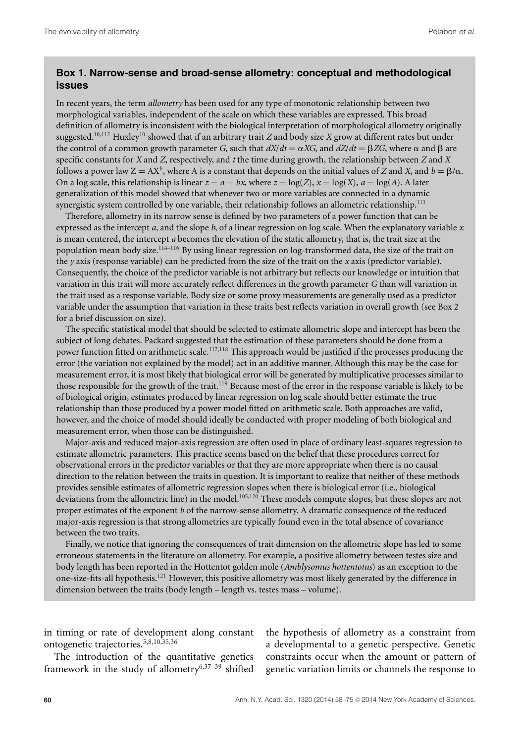# **Box 1. Narrow-sense and broad-sense allometry: conceptual and methodological issues**

In recent years, the term *allometry* has been used for any type of monotonic relationship between two morphological variables, independent of the scale on which these variables are expressed. This broad definition of allometry is inconsistent with the biological interpretation of morphological allometry originally suggested.<sup>10,112</sup> Huxley<sup>10</sup> showed that if an arbitrary trait *Z* and body size *X* grow at different rates but under the control of a common growth parameter *G*, such that  $dX/dt = \alpha XG$ , and  $dZ/dt = \beta ZG$ , where  $\alpha$  and  $\beta$  are specific constants for *X* and *Z*, respectively, and *t* the time during growth, the relationship between *Z* and *X* follows a power law  $Z = AX^b$ , where A is a constant that depends on the initial values of *Z* and *X*, and  $b = \beta/\alpha$ . On a log scale, this relationship is linear  $z = a + bx$ , where  $z = \log(Z)$ ,  $x = \log(X)$ ,  $a = \log(A)$ . A later generalization of this model showed that whenever two or more variables are connected in a dynamic synergistic system controlled by one variable, their relationship follows an allometric relationship.<sup>113</sup>

Therefore, allometry in its narrow sense is defined by two parameters of a power function that can be expressed as the intercept *a,* and the slope *b,* of a linear regression on log scale. When the explanatory variable *x* is mean centered, the intercept *a* becomes the elevation of the static allometry, that is, the trait size at the population mean body size.114–116 By using linear regression on log-transformed data, the size of the trait on the *y* axis (response variable) can be predicted from the size of the trait on the *x* axis (predictor variable). Consequently, the choice of the predictor variable is not arbitrary but reflects our knowledge or intuition that variation in this trait will more accurately reflect differences in the growth parameter *G* than will variation in the trait used as a response variable. Body size or some proxy measurements are generally used as a predictor variable under the assumption that variation in these traits best reflects variation in overall growth (see Box 2 for a brief discussion on size).

The specific statistical model that should be selected to estimate allometric slope and intercept has been the subject of long debates. Packard suggested that the estimation of these parameters should be done from a power function fitted on arithmetic scale.117,118 This approach would be justified if the processes producing the error (the variation not explained by the model) act in an additive manner. Although this may be the case for measurement error, it is most likely that biological error will be generated by multiplicative processes similar to those responsible for the growth of the trait.<sup>119</sup> Because most of the error in the response variable is likely to be of biological origin, estimates produced by linear regression on log scale should better estimate the true relationship than those produced by a power model fitted on arithmetic scale. Both approaches are valid, however, and the choice of model should ideally be conducted with proper modeling of both biological and measurement error, when those can be distinguished.

Major-axis and reduced major-axis regression are often used in place of ordinary least-squares regression to estimate allometric parameters. This practice seems based on the belief that these procedures correct for observational errors in the predictor variables or that they are more appropriate when there is no causal direction to the relation between the traits in question. It is important to realize that neither of these methods provides sensible estimates of allometric regression slopes when there is biological error (i.e., biological deviations from the allometric line) in the model.<sup>105,120</sup> These models compute slopes, but these slopes are not proper estimates of the exponent *b* of the narrow-sense allometry. A dramatic consequence of the reduced major-axis regression is that strong allometries are typically found even in the total absence of covariance between the two traits.

Finally, we notice that ignoring the consequences of trait dimension on the allometric slope has led to some erroneous statements in the literature on allometry. For example, a positive allometry between testes size and body length has been reported in the Hottentot golden mole (*Amblysomus hottentotus*) as an exception to the one-size-fits-all hypothesis.121 However, this positive allometry was most likely generated by the difference in dimension between the traits (body length – length vs. testes mass – volume).

in timing or rate of development along constant ontogenetic trajectories.5,8,10,35,36

The introduction of the quantitative genetics framework in the study of allometry $6,37-39$  shifted the hypothesis of allometry as a constraint from a developmental to a genetic perspective. Genetic constraints occur when the amount or pattern of genetic variation limits or channels the response to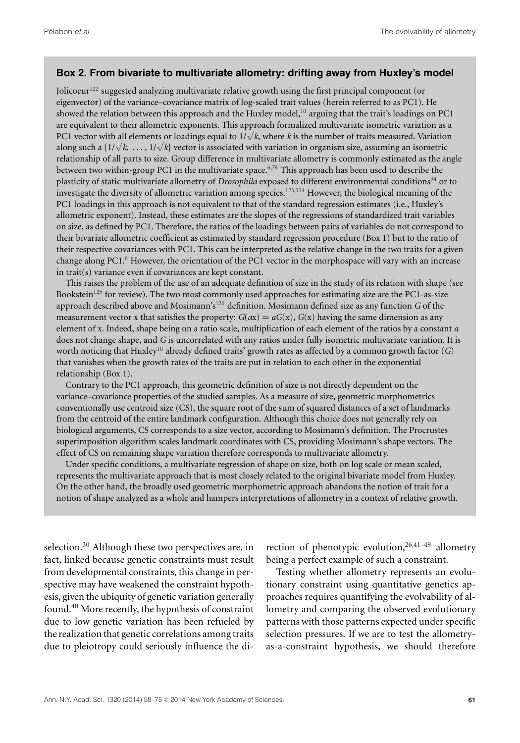## **Box 2. From bivariate to multivariate allometry: drifting away from Huxley's model**

Jolicoeur<sup>122</sup> suggested analyzing multivariate relative growth using the first principal component (or eigenvector) of the variance–covariance matrix of log-scaled trait values (herein referred to as PC1). He showed the relation between this approach and the Huxley model,<sup>10</sup> arguing that the trait's loadings on PC1 are equivalent to their allometric exponents. This approach formalized multivariate isometric variation as a PC1 vector with all elements or loadings equal to  $1/\sqrt{k}$ , where k is the number of traits measured. Variation along such a  $\{1/\sqrt{k}, \ldots, 1/\sqrt{k}\}$  vector is associated with variation in organism size, assuming an isometric relationship of all parts to size. Group difference in multivariate allometry is commonly estimated as the angle between two within-group PC1 in the multivariate space.<sup>6,79</sup> This approach has been used to describe the plasticity of static multivariate allometry of *Drosophila* exposed to different environmental conditions<sup>94</sup> or to investigate the diversity of allometric variation among species.123,124 However, the biological meaning of the PC1 loadings in this approach is not equivalent to that of the standard regression estimates (i.e., Huxley's allometric exponent). Instead, these estimates are the slopes of the regressions of standardized trait variables on size, as defined by PC1. Therefore, the ratios of the loadings between pairs of variables do not correspond to their bivariate allometric coefficient as estimated by standard regression procedure (Box 1) but to the ratio of their respective covariances with PC1. This can be interpreted as the relative change in the two traits for a given change along PC1.<sup>6</sup> However, the orientation of the PC1 vector in the morphospace will vary with an increase in trait(s) variance even if covariances are kept constant.

This raises the problem of the use of an adequate definition of size in the study of its relation with shape (see Bookstein<sup>125</sup> for review). The two most commonly used approaches for estimating size are the PC1-as-size approach described above and Mosimann's<sup>126</sup> definition. Mosimann defined size as any function *G* of the measurement vector x that satisfies the property:  $G(\alpha x) = aG(x)$ ,  $G(x)$  having the same dimension as any element of x. Indeed, shape being on a ratio scale, multiplication of each element of the ratios by a constant *a* does not change shape, and *G* is uncorrelated with any ratios under fully isometric multivariate variation. It is worth noticing that Huxley<sup>10</sup> already defined traits' growth rates as affected by a common growth factor (*G*) that vanishes when the growth rates of the traits are put in relation to each other in the exponential relationship (Box 1).

Contrary to the PC1 approach, this geometric definition of size is not directly dependent on the variance–covariance properties of the studied samples. As a measure of size, geometric morphometrics conventionally use centroid size (CS), the square root of the sum of squared distances of a set of landmarks from the centroid of the entire landmark configuration. Although this choice does not generally rely on biological arguments, CS corresponds to a size vector, according to Mosimann's definition. The Procrustes superimposition algorithm scales landmark coordinates with CS, providing Mosimann's shape vectors. The effect of CS on remaining shape variation therefore corresponds to multivariate allometry.

Under specific conditions, a multivariate regression of shape on size, both on log scale or mean scaled, represents the multivariate approach that is most closely related to the original bivariate model from Huxley. On the other hand, the broadly used geometric morphometric approach abandons the notion of trait for a notion of shape analyzed as a whole and hampers interpretations of allometry in a context of relative growth.

selection.<sup>30</sup> Although these two perspectives are, in fact, linked because genetic constraints must result from developmental constraints, this change in perspective may have weakened the constraint hypothesis, given the ubiquity of genetic variation generally found.<sup>40</sup> More recently, the hypothesis of constraint due to low genetic variation has been refueled by the realization that genetic correlations among traits due to pleiotropy could seriously influence the di-

rection of phenotypic evolution,  $26,41-49$  allometry being a perfect example of such a constraint.

Testing whether allometry represents an evolutionary constraint using quantitative genetics approaches requires quantifying the evolvability of allometry and comparing the observed evolutionary patterns with those patterns expected under specific selection pressures. If we are to test the allometryas-a-constraint hypothesis, we should therefore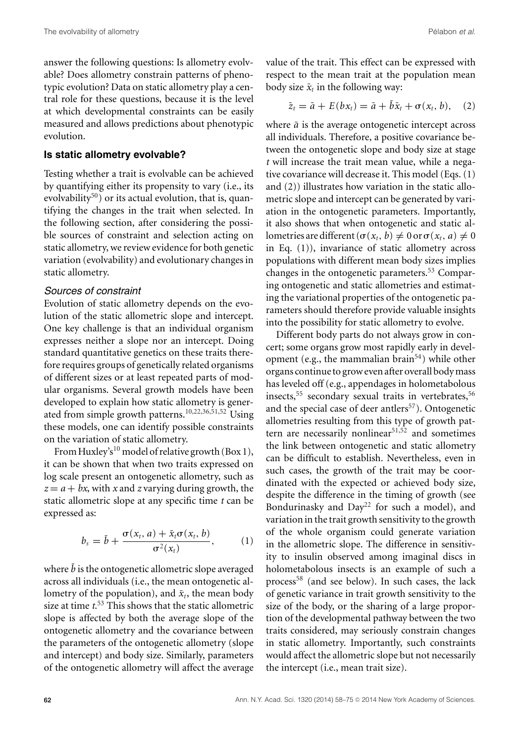answer the following questions: Is allometry evolvable? Does allometry constrain patterns of phenotypic evolution? Data on static allometry play a central role for these questions, because it is the level at which developmental constraints can be easily measured and allows predictions about phenotypic evolution.

#### **Is static allometry evolvable?**

Testing whether a trait is evolvable can be achieved by quantifying either its propensity to vary (i.e., its evolvability<sup>50</sup>) or its actual evolution, that is, quantifying the changes in the trait when selected. In the following section, after considering the possible sources of constraint and selection acting on static allometry, we review evidence for both genetic variation (evolvability) and evolutionary changes in static allometry.

## Sources of constraint

Evolution of static allometry depends on the evolution of the static allometric slope and intercept. One key challenge is that an individual organism expresses neither a slope nor an intercept. Doing standard quantitative genetics on these traits therefore requires groups of genetically related organisms of different sizes or at least repeated parts of modular organisms. Several growth models have been developed to explain how static allometry is generated from simple growth patterns.10,22,36,51,52 Using these models, one can identify possible constraints on the variation of static allometry.

From Huxley's<sup>10</sup> model of relative growth (Box 1), it can be shown that when two traits expressed on log scale present an ontogenetic allometry, such as  $z = a + bx$ , with *x* and *z* varying during growth, the static allometric slope at any specific time *t* can be expressed as:

$$
b_s = \bar{b} + \frac{\sigma(x_t, a) + \bar{x}_t \sigma(x_t, b)}{\sigma^2(x_t)},
$$
 (1)

where  $\bar{b}$  is the ontogenetic allometric slope averaged across all individuals (i.e., the mean ontogenetic allometry of the population), and  $\bar{x}_t$ , the mean body size at time *t*. <sup>53</sup> This shows that the static allometric slope is affected by both the average slope of the ontogenetic allometry and the covariance between the parameters of the ontogenetic allometry (slope and intercept) and body size. Similarly, parameters of the ontogenetic allometry will affect the average

$$
\bar{z}_t = \bar{a} + E(bx_t) = \bar{a} + \bar{b}\bar{x}_t + \sigma(x_t, b), \quad (2)
$$

where  $\bar{a}$  is the average ontogenetic intercept across all individuals. Therefore, a positive covariance between the ontogenetic slope and body size at stage *t* will increase the trait mean value, while a negative covariance will decrease it. This model (Eqs. (1) and (2)) illustrates how variation in the static allometric slope and intercept can be generated by variation in the ontogenetic parameters. Importantly, it also shows that when ontogenetic and static allometries are different  $(\sigma(x_t, b) \neq 0 \text{ or } \sigma(x_t, a) \neq 0$ in Eq. (1)), invariance of static allometry across populations with different mean body sizes implies changes in the ontogenetic parameters.<sup>53</sup> Comparing ontogenetic and static allometries and estimating the variational properties of the ontogenetic parameters should therefore provide valuable insights into the possibility for static allometry to evolve.

Different body parts do not always grow in concert; some organs grow most rapidly early in development (e.g., the mammalian brain<sup>54</sup>) while other organs continue to grow even after overall body mass has leveled off (e.g., appendages in holometabolous insects, $55$  secondary sexual traits in vertebrates, $56$ and the special case of deer antlers<sup>57</sup>). Ontogenetic allometries resulting from this type of growth pattern are necessarily nonlinear $51,52$  and sometimes the link between ontogenetic and static allometry can be difficult to establish. Nevertheless, even in such cases, the growth of the trait may be coordinated with the expected or achieved body size, despite the difference in the timing of growth (see Bondurinasky and Day<sup>22</sup> for such a model), and variation in the trait growth sensitivity to the growth of the whole organism could generate variation in the allometric slope. The difference in sensitivity to insulin observed among imaginal discs in holometabolous insects is an example of such a process<sup>58</sup> (and see below). In such cases, the lack of genetic variance in trait growth sensitivity to the size of the body, or the sharing of a large proportion of the developmental pathway between the two traits considered, may seriously constrain changes in static allometry. Importantly, such constraints would affect the allometric slope but not necessarily the intercept (i.e., mean trait size).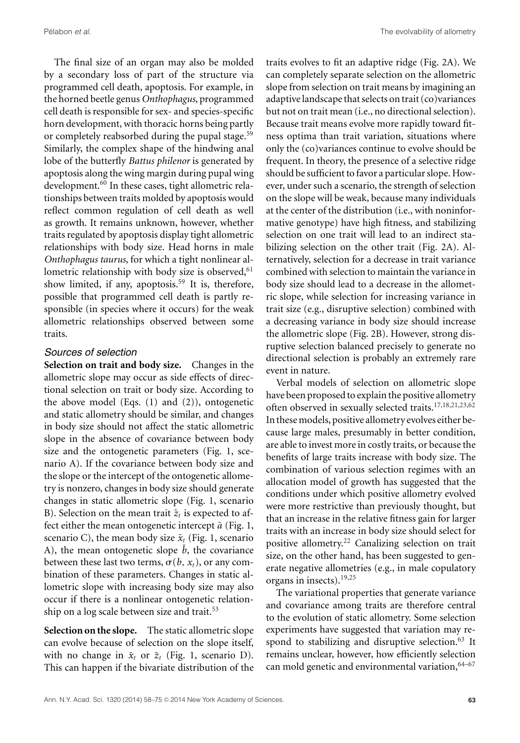The final size of an organ may also be molded by a secondary loss of part of the structure via programmed cell death, apoptosis. For example, in the horned beetle genus *Onthophagus*, programmed cell death is responsible for sex- and species-specific horn development, with thoracic horns being partly or completely reabsorbed during the pupal stage.<sup>59</sup> Similarly, the complex shape of the hindwing anal lobe of the butterfly *Battus philenor* is generated by apoptosis along the wing margin during pupal wing development.<sup>60</sup> In these cases, tight allometric relationships between traits molded by apoptosis would reflect common regulation of cell death as well as growth. It remains unknown, however, whether traits regulated by apoptosis display tight allometric relationships with body size. Head horns in male *Onthophagus taurus*, for which a tight nonlinear allometric relationship with body size is observed, $61$ show limited, if any, apoptosis.<sup>59</sup> It is, therefore, possible that programmed cell death is partly responsible (in species where it occurs) for the weak allometric relationships observed between some traits.

### Sources of selection

**Selection on trait and body size.** Changes in the allometric slope may occur as side effects of directional selection on trait or body size. According to the above model (Eqs. (1) and (2)), ontogenetic and static allometry should be similar, and changes in body size should not affect the static allometric slope in the absence of covariance between body size and the ontogenetic parameters (Fig. 1, scenario A). If the covariance between body size and the slope or the intercept of the ontogenetic allometry is nonzero, changes in body size should generate changes in static allometric slope (Fig. 1, scenario B). Selection on the mean trait  $\bar{z}_t$  is expected to affect either the mean ontogenetic intercept  $\bar{a}$  (Fig. 1, scenario C), the mean body size  $\bar{x}_t$  (Fig. 1, scenario A), the mean ontogenetic slope  $\bar{b}$ , the covariance between these last two terms,  $\sigma(b, x_t)$ , or any combination of these parameters. Changes in static allometric slope with increasing body size may also occur if there is a nonlinear ontogenetic relationship on a log scale between size and trait.<sup>53</sup>

**Selection on the slope.** The static allometric slope can evolve because of selection on the slope itself, with no change in  $\bar{x}_t$  or  $\bar{z}_t$  (Fig. 1, scenario D). This can happen if the bivariate distribution of the traits evolves to fit an adaptive ridge (Fig. 2A). We can completely separate selection on the allometric slope from selection on trait means by imagining an adaptive landscape that selects on trait (co)variances but not on trait mean (i.e., no directional selection). Because trait means evolve more rapidly toward fitness optima than trait variation, situations where only the (co)variances continue to evolve should be frequent. In theory, the presence of a selective ridge should be sufficient to favor a particular slope. However, under such a scenario, the strength of selection on the slope will be weak, because many individuals at the center of the distribution (i.e., with noninformative genotype) have high fitness, and stabilizing selection on one trait will lead to an indirect stabilizing selection on the other trait (Fig. 2A). Alternatively, selection for a decrease in trait variance combined with selection to maintain the variance in body size should lead to a decrease in the allometric slope, while selection for increasing variance in trait size (e.g., disruptive selection) combined with a decreasing variance in body size should increase the allometric slope (Fig. 2B). However, strong disruptive selection balanced precisely to generate no directional selection is probably an extremely rare event in nature.

Verbal models of selection on allometric slope have been proposed to explain the positive allometry often observed in sexually selected traits.17,18,21,23,62 In these models, positive allometry evolves either because large males, presumably in better condition, are able to invest more in costly traits, or because the benefits of large traits increase with body size. The combination of various selection regimes with an allocation model of growth has suggested that the conditions under which positive allometry evolved were more restrictive than previously thought, but that an increase in the relative fitness gain for larger traits with an increase in body size should select for positive allometry.<sup>22</sup> Canalizing selection on trait size, on the other hand, has been suggested to generate negative allometries (e.g., in male copulatory organs in insects).19,25

The variational properties that generate variance and covariance among traits are therefore central to the evolution of static allometry. Some selection experiments have suggested that variation may respond to stabilizing and disruptive selection.<sup>63</sup> It remains unclear, however, how efficiently selection can mold genetic and environmental variation,  $64-67$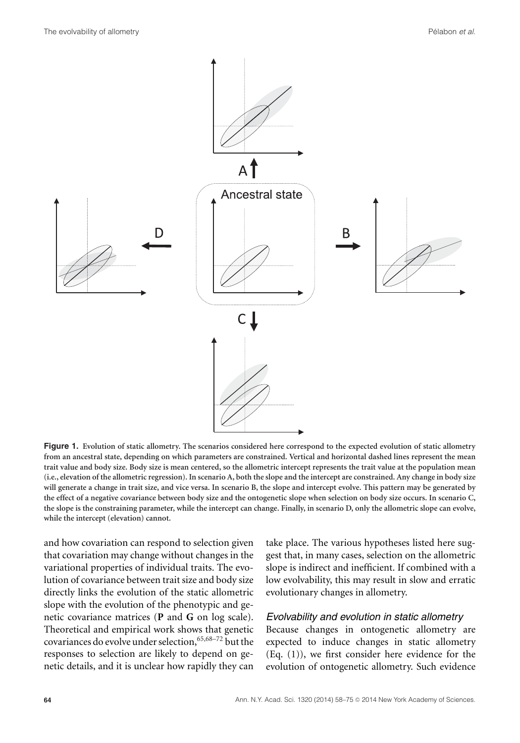

**Figure 1. Evolution of static allometry. The scenarios considered here correspond to the expected evolution of static allometry from an ancestral state, depending on which parameters are constrained. Vertical and horizontal dashed lines represent the mean trait value and body size. Body size is mean centered, so the allometric intercept represents the trait value at the population mean (i.e., elevation of the allometric regression). In scenario A, both the slope and the intercept are constrained. Any change in body size will generate a change in trait size, and vice versa. In scenario B, the slope and intercept evolve. This pattern may be generated by the effect of a negative covariance between body size and the ontogenetic slope when selection on body size occurs. In scenario C, the slope is the constraining parameter, while the intercept can change. Finally, in scenario D, only the allometric slope can evolve, while the intercept (elevation) cannot.**

and how covariation can respond to selection given that covariation may change without changes in the variational properties of individual traits. The evolution of covariance between trait size and body size directly links the evolution of the static allometric slope with the evolution of the phenotypic and genetic covariance matrices (**P** and **G** on log scale). Theoretical and empirical work shows that genetic covariances do evolve under selection,65,68–72 but the responses to selection are likely to depend on genetic details, and it is unclear how rapidly they can

take place. The various hypotheses listed here suggest that, in many cases, selection on the allometric slope is indirect and inefficient. If combined with a low evolvability, this may result in slow and erratic evolutionary changes in allometry.

#### Evolvability and evolution in static allometry

Because changes in ontogenetic allometry are expected to induce changes in static allometry (Eq. (1)), we first consider here evidence for the evolution of ontogenetic allometry. Such evidence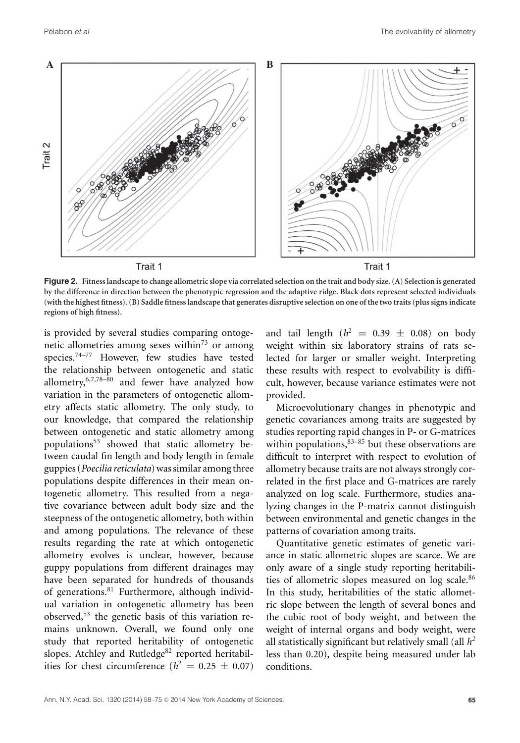

**Figure 2. Fitness landscape to change allometric slope via correlated selection on the trait and body size. (A) Selection is generated by the difference in direction between the phenotypic regression and the adaptive ridge. Black dots represent selected individuals (with the highest fitness). (B) Saddle fitness landscape that generates disruptive selection on one of the two traits (plus signs indicate regions of high fitness).**

is provided by several studies comparing ontogenetic allometries among sexes within<sup>73</sup> or among species.<sup>74–77</sup> However, few studies have tested the relationship between ontogenetic and static allometry,  $6,7,78-\overline{80}$  and fewer have analyzed how variation in the parameters of ontogenetic allometry affects static allometry. The only study, to our knowledge, that compared the relationship between ontogenetic and static allometry among populations<sup>53</sup> showed that static allometry between caudal fin length and body length in female guppies (*Poecilia reticulata*) was similar among three populations despite differences in their mean ontogenetic allometry. This resulted from a negative covariance between adult body size and the steepness of the ontogenetic allometry, both within and among populations. The relevance of these results regarding the rate at which ontogenetic allometry evolves is unclear, however, because guppy populations from different drainages may have been separated for hundreds of thousands of generations.<sup>81</sup> Furthermore, although individual variation in ontogenetic allometry has been observed,<sup>53</sup> the genetic basis of this variation remains unknown. Overall, we found only one study that reported heritability of ontogenetic slopes. Atchley and Rutledge<sup>82</sup> reported heritabilities for chest circumference ( $h^2 = 0.25 \pm 0.07$ )

and tail length  $(h^2 = 0.39 \pm 0.08)$  on body weight within six laboratory strains of rats selected for larger or smaller weight. Interpreting these results with respect to evolvability is difficult, however, because variance estimates were not provided.

Microevolutionary changes in phenotypic and genetic covariances among traits are suggested by studies reporting rapid changes in P**-** or G**-**matrices within populations,  $83-85$  but these observations are difficult to interpret with respect to evolution of allometry because traits are not always strongly correlated in the first place and G-matrices are rarely analyzed on log scale. Furthermore, studies analyzing changes in the P-matrix cannot distinguish between environmental and genetic changes in the patterns of covariation among traits.

Quantitative genetic estimates of genetic variance in static allometric slopes are scarce. We are only aware of a single study reporting heritabilities of allometric slopes measured on log scale.<sup>86</sup> In this study, heritabilities of the static allometric slope between the length of several bones and the cubic root of body weight, and between the weight of internal organs and body weight, were all statistically significant but relatively small (all *h2* less than 0.20), despite being measured under lab conditions.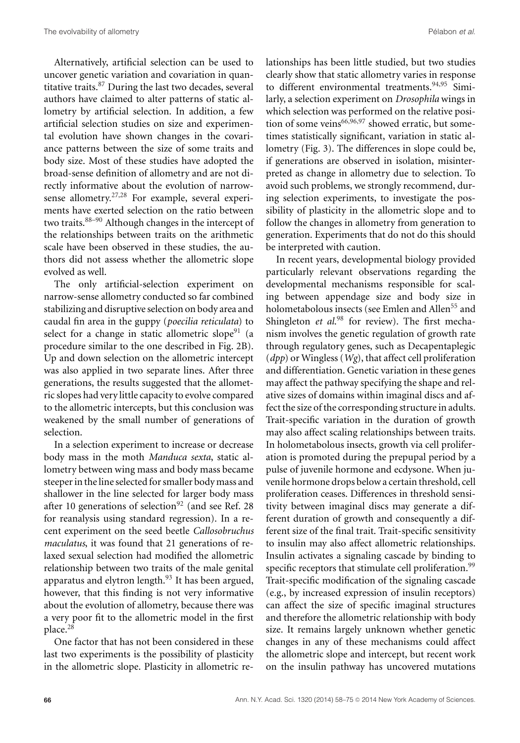Alternatively, artificial selection can be used to uncover genetic variation and covariation in quantitative traits.<sup>87</sup> During the last two decades, several authors have claimed to alter patterns of static allometry by artificial selection. In addition, a few artificial selection studies on size and experimental evolution have shown changes in the covariance patterns between the size of some traits and body size. Most of these studies have adopted the broad-sense definition of allometry and are not directly informative about the evolution of narrowsense allometry.<sup>27,28</sup> For example, several experiments have exerted selection on the ratio between two traits.<sup>88–90</sup> Although changes in the intercept of the relationships between traits on the arithmetic scale have been observed in these studies, the authors did not assess whether the allometric slope evolved as well.

The only artificial-selection experiment on narrow-sense allometry conducted so far combined stabilizing and disruptive selection on body area and caudal fin area in the guppy (*poecilia reticulata*) to select for a change in static allometric slope<sup>91</sup> (a procedure similar to the one described in Fig. 2B). Up and down selection on the allometric intercept was also applied in two separate lines. After three generations, the results suggested that the allometric slopes had very little capacity to evolve compared to the allometric intercepts, but this conclusion was weakened by the small number of generations of selection.

In a selection experiment to increase or decrease body mass in the moth *Manduca sexta*, static allometry between wing mass and body mass became steeper in the line selected for smaller body mass and shallower in the line selected for larger body mass after 10 generations of selection<sup>92</sup> (and see Ref. 28 for reanalysis using standard regression). In a recent experiment on the seed beetle *Callosobruchus maculatus*, it was found that 21 generations of relaxed sexual selection had modified the allometric relationship between two traits of the male genital apparatus and elytron length.<sup>93</sup> It has been argued, however, that this finding is not very informative about the evolution of allometry, because there was a very poor fit to the allometric model in the first place.<sup>28</sup>

One factor that has not been considered in these last two experiments is the possibility of plasticity in the allometric slope. Plasticity in allometric relationships has been little studied, but two studies clearly show that static allometry varies in response to different environmental treatments.<sup>94,95</sup> Similarly, a selection experiment on *Drosophila* wings in which selection was performed on the relative position of some veins $66,96,97$  showed erratic, but sometimes statistically significant, variation in static allometry (Fig. 3). The differences in slope could be, if generations are observed in isolation, misinterpreted as change in allometry due to selection. To avoid such problems, we strongly recommend, during selection experiments, to investigate the possibility of plasticity in the allometric slope and to follow the changes in allometry from generation to generation. Experiments that do not do this should be interpreted with caution.

In recent years, developmental biology provided particularly relevant observations regarding the developmental mechanisms responsible for scaling between appendage size and body size in holometabolous insects (see Emlen and Allen<sup>55</sup> and Shingleton *et al.*<sup>98</sup> for review). The first mechanism involves the genetic regulation of growth rate through regulatory genes, such as Decapentaplegic (*dpp*) or Wingless (*Wg*), that affect cell proliferation and differentiation. Genetic variation in these genes may affect the pathway specifying the shape and relative sizes of domains within imaginal discs and affect the size of the corresponding structure in adults. Trait-specific variation in the duration of growth may also affect scaling relationships between traits. In holometabolous insects, growth via cell proliferation is promoted during the prepupal period by a pulse of juvenile hormone and ecdysone. When juvenile hormone drops below a certain threshold, cell proliferation ceases. Differences in threshold sensitivity between imaginal discs may generate a different duration of growth and consequently a different size of the final trait. Trait-specific sensitivity to insulin may also affect allometric relationships. Insulin activates a signaling cascade by binding to specific receptors that stimulate cell proliferation.<sup>99</sup> Trait-specific modification of the signaling cascade (e.g., by increased expression of insulin receptors) can affect the size of specific imaginal structures and therefore the allometric relationship with body size. It remains largely unknown whether genetic changes in any of these mechanisms could affect the allometric slope and intercept, but recent work on the insulin pathway has uncovered mutations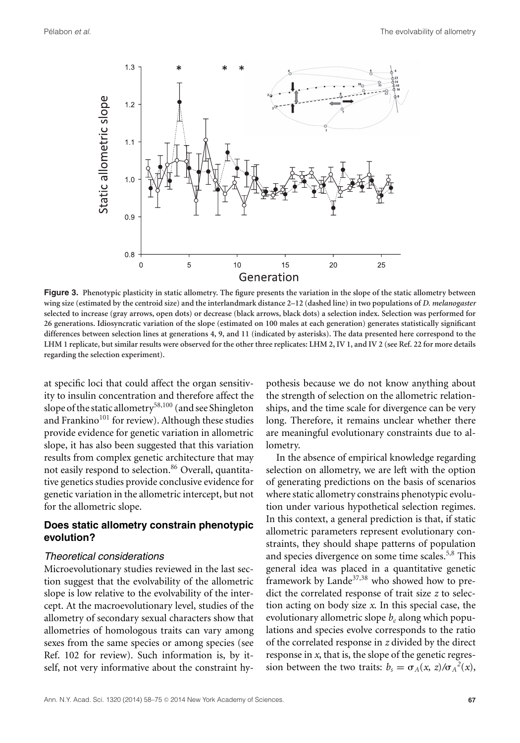

**Figure 3. Phenotypic plasticity in static allometry. The figure presents the variation in the slope of the static allometry between wing size (estimated by the centroid size) and the interlandmark distance 2–12 (dashed line) in two populations of** *D. melanogaster* **selected to increase (gray arrows, open dots) or decrease (black arrows, black dots) a selection index. Selection was performed for 26 generations. Idiosyncratic variation of the slope (estimated on 100 males at each generation) generates statistically significant differences between selection lines at generations 4, 9, and 11 (indicated by asterisks). The data presented here correspond to the LHM 1 replicate, but similar results were observed for the other three replicates: LHM 2, IV 1, and IV 2 (see Ref. 22 for more details regarding the selection experiment).**

at specific loci that could affect the organ sensitivity to insulin concentration and therefore affect the slope of the static allometry<sup>58,100</sup> (and see Shingleton and Frankino<sup>101</sup> for review). Although these studies provide evidence for genetic variation in allometric slope, it has also been suggested that this variation results from complex genetic architecture that may not easily respond to selection.<sup>86</sup> Overall, quantitative genetics studies provide conclusive evidence for genetic variation in the allometric intercept, but not for the allometric slope.

# **Does static allometry constrain phenotypic evolution?**

#### Theoretical considerations

Microevolutionary studies reviewed in the last section suggest that the evolvability of the allometric slope is low relative to the evolvability of the intercept. At the macroevolutionary level, studies of the allometry of secondary sexual characters show that allometries of homologous traits can vary among sexes from the same species or among species (see Ref. 102 for review). Such information is, by itself, not very informative about the constraint hypothesis because we do not know anything about the strength of selection on the allometric relationships, and the time scale for divergence can be very long. Therefore, it remains unclear whether there are meaningful evolutionary constraints due to allometry.

In the absence of empirical knowledge regarding selection on allometry, we are left with the option of generating predictions on the basis of scenarios where static allometry constrains phenotypic evolution under various hypothetical selection regimes. In this context, a general prediction is that, if static allometric parameters represent evolutionary constraints, they should shape patterns of population and species divergence on some time scales.<sup>5,8</sup> This general idea was placed in a quantitative genetic framework by Lande $37,38$  who showed how to predict the correlated response of trait size *z* to selection acting on body size *x*. In this special case, the evolutionary allometric slope *be* along which populations and species evolve corresponds to the ratio of the correlated response in *z* divided by the direct response in *x*, that is, the slope of the genetic regression between the two traits:  $b_s = \sigma_A(x, z)/\sigma_A^2(x)$ ,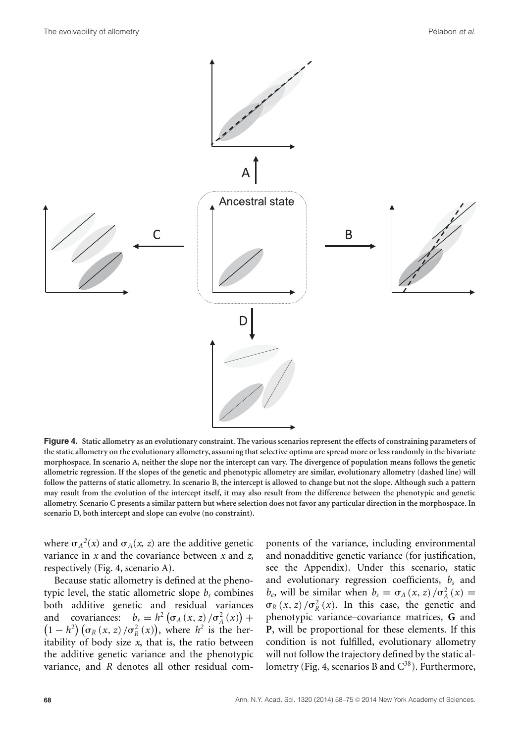

**Figure 4. Static allometry as an evolutionary constraint. The various scenarios represent the effects of constraining parameters of the static allometry on the evolutionary allometry, assuming that selective optima are spread more or less randomly in the bivariate morphospace. In scenario A, neither the slope nor the intercept can vary. The divergence of population means follows the genetic allometric regression. If the slopes of the genetic and phenotypic allometry are similar, evolutionary allometry (dashed line) will follow the patterns of static allometry. In scenario B, the intercept is allowed to change but not the slope. Although such a pattern may result from the evolution of the intercept itself, it may also result from the difference between the phenotypic and genetic allometry. Scenario C presents a similar pattern but where selection does not favor any particular direction in the morphospace. In scenario D, both intercept and slope can evolve (no constraint).**

where  $\sigma_A^2(x)$  and  $\sigma_A(x, z)$  are the additive genetic variance in *x* and the covariance between *x* and *z,* respectively (Fig. 4, scenario A).

Because static allometry is defined at the phenotypic level, the static allometric slope  $b_s$  combines both additive genetic and residual variances and covariances:  $b_s = h^2 \left( \sigma_A(x, z) / \sigma_A^2(x) \right) +$  $(1-h^2)\left(\sigma_R(x,z)/\sigma_R^2(x)\right)$ , where  $h^2$  is the heritability of body size *x*, that is, the ratio between the additive genetic variance and the phenotypic variance, and *R* denotes all other residual components of the variance, including environmental and nonadditive genetic variance (for justification, see the Appendix). Under this scenario, static and evolutionary regression coefficients,  $b_s$  and  $b_e$ , will be similar when  $b_s = \sigma_A(x, z) / \sigma_A^2(x) =$  $\sigma_R(x, z) / \sigma_R^2(x)$ . In this case, the genetic and phenotypic variance–covariance matrices, **G** and **P**, will be proportional for these elements. If this condition is not fulfilled, evolutionary allometry will not follow the trajectory defined by the static allometry (Fig. 4, scenarios B and  $C^{38}$ ). Furthermore,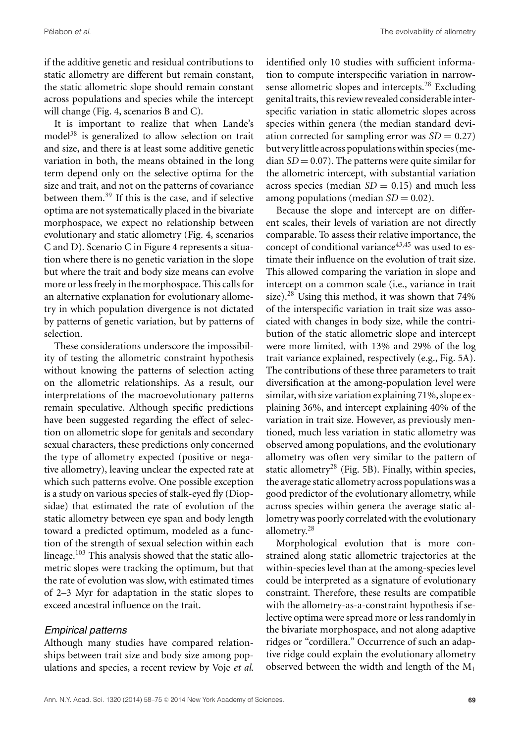if the additive genetic and residual contributions to static allometry are different but remain constant, the static allometric slope should remain constant across populations and species while the intercept will change (Fig. 4, scenarios B and C).

It is important to realize that when Lande's model<sup>38</sup> is generalized to allow selection on trait and size, and there is at least some additive genetic variation in both, the means obtained in the long term depend only on the selective optima for the size and trait, and not on the patterns of covariance between them.<sup>39</sup> If this is the case, and if selective optima are not systematically placed in the bivariate morphospace, we expect no relationship between evolutionary and static allometry (Fig. 4, scenarios C and D). Scenario C in Figure 4 represents a situation where there is no genetic variation in the slope but where the trait and body size means can evolve more or less freely in the morphospace. This calls for an alternative explanation for evolutionary allometry in which population divergence is not dictated by patterns of genetic variation, but by patterns of selection.

These considerations underscore the impossibility of testing the allometric constraint hypothesis without knowing the patterns of selection acting on the allometric relationships. As a result, our interpretations of the macroevolutionary patterns remain speculative. Although specific predictions have been suggested regarding the effect of selection on allometric slope for genitals and secondary sexual characters, these predictions only concerned the type of allometry expected (positive or negative allometry), leaving unclear the expected rate at which such patterns evolve. One possible exception is a study on various species of stalk-eyed fly (Diopsidae) that estimated the rate of evolution of the static allometry between eye span and body length toward a predicted optimum, modeled as a function of the strength of sexual selection within each lineage.<sup>103</sup> This analysis showed that the static allometric slopes were tracking the optimum, but that the rate of evolution was slow, with estimated times of 2–3 Myr for adaptation in the static slopes to exceed ancestral influence on the trait.

#### Empirical patterns

Although many studies have compared relationships between trait size and body size among populations and species, a recent review by Voje *et al*. identified only 10 studies with sufficient information to compute interspecific variation in narrowsense allometric slopes and intercepts.<sup>28</sup> Excluding genital traits, this review revealed considerable interspecific variation in static allometric slopes across species within genera (the median standard deviation corrected for sampling error was  $SD = 0.27$ ) but very little across populations within species (median  $SD = 0.07$ ). The patterns were quite similar for the allometric intercept, with substantial variation across species (median  $SD = 0.15$ ) and much less among populations (median  $SD = 0.02$ ).

Because the slope and intercept are on different scales, their levels of variation are not directly comparable. To assess their relative importance, the concept of conditional variance $43,45$  was used to estimate their influence on the evolution of trait size. This allowed comparing the variation in slope and intercept on a common scale (i.e., variance in trait size).<sup>28</sup> Using this method, it was shown that 74% of the interspecific variation in trait size was associated with changes in body size, while the contribution of the static allometric slope and intercept were more limited, with 13% and 29% of the log trait variance explained, respectively (e.g., Fig. 5A). The contributions of these three parameters to trait diversification at the among-population level were similar, with size variation explaining 71%, slope explaining 36%, and intercept explaining 40% of the variation in trait size. However, as previously mentioned, much less variation in static allometry was observed among populations, and the evolutionary allometry was often very similar to the pattern of static allometry<sup>28</sup> (Fig. 5B). Finally, within species, the average static allometry across populations was a good predictor of the evolutionary allometry, while across species within genera the average static allometry was poorly correlated with the evolutionary allometry.28

Morphological evolution that is more constrained along static allometric trajectories at the within-species level than at the among-species level could be interpreted as a signature of evolutionary constraint. Therefore, these results are compatible with the allometry-as-a-constraint hypothesis if selective optima were spread more or less randomly in the bivariate morphospace, and not along adaptive ridges or "cordillera." Occurrence of such an adaptive ridge could explain the evolutionary allometry observed between the width and length of the  $M_1$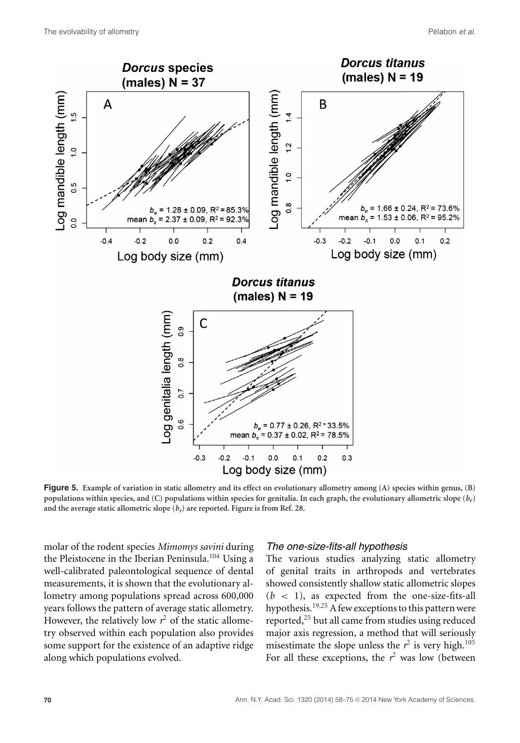

**Figure 5. Example of variation in static allometry and its effect on evolutionary allometry among (A) species within genus, (B)** populations within species, and (C) populations within species for genitalia. In each graph, the evolutionary allometric slope  $(b_e)$ and the average static allometric slope  $(b_s)$  are reported. Figure is from Ref. 28.

molar of the rodent species *Mimomys savini* during the Pleistocene in the Iberian Peninsula.<sup>104</sup> Using a well-calibrated paleontological sequence of dental measurements, it is shown that the evolutionary allometry among populations spread across 600,000 years follows the pattern of average static allometry. However, the relatively low  $r^2$  of the static allometry observed within each population also provides some support for the existence of an adaptive ridge along which populations evolved.

#### The one-size-fits-all hypothesis

The various studies analyzing static allometry of genital traits in arthropods and vertebrates showed consistently shallow static allometric slopes  $(b < 1)$ , as expected from the one-size-fits-all hypothesis.19,25 A few exceptions to this pattern were reported,<sup>25</sup> but all came from studies using reduced major axis regression, a method that will seriously misestimate the slope unless the  $r^2$  is very high.<sup>105</sup> For all these exceptions, the  $r^2$  was low (between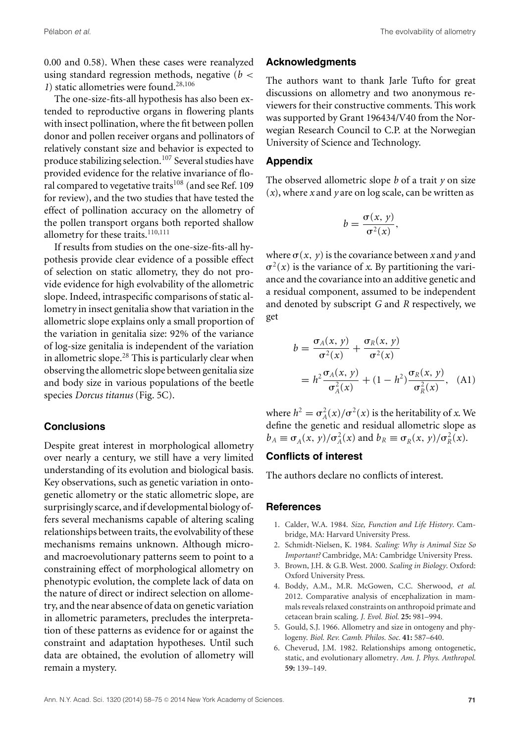0.00 and 0.58). When these cases were reanalyzed using standard regression methods, negative (*b* < 1) static allometries were found.<sup>28,106</sup>

The one-size-fits-all hypothesis has also been extended to reproductive organs in flowering plants with insect pollination, where the fit between pollen donor and pollen receiver organs and pollinators of relatively constant size and behavior is expected to produce stabilizing selection.<sup>107</sup> Several studies have provided evidence for the relative invariance of floral compared to vegetative traits<sup>108</sup> (and see Ref. 109 for review), and the two studies that have tested the effect of pollination accuracy on the allometry of the pollen transport organs both reported shallow allometry for these traits. $110,111$ 

If results from studies on the one-size-fits-all hypothesis provide clear evidence of a possible effect of selection on static allometry, they do not provide evidence for high evolvability of the allometric slope. Indeed, intraspecific comparisons of static allometry in insect genitalia show that variation in the allometric slope explains only a small proportion of the variation in genitalia size: 92% of the variance of log-size genitalia is independent of the variation in allometric slope.<sup>28</sup> This is particularly clear when observing the allometric slope between genitalia size and body size in various populations of the beetle species *Dorcus titanus* (Fig. 5C).

## **Conclusions**

Despite great interest in morphological allometry over nearly a century, we still have a very limited understanding of its evolution and biological basis. Key observations, such as genetic variation in ontogenetic allometry or the static allometric slope, are surprisingly scarce, and if developmental biology offers several mechanisms capable of altering scaling relationships between traits, the evolvability of these mechanisms remains unknown. Although microand macroevolutionary patterns seem to point to a constraining effect of morphological allometry on phenotypic evolution, the complete lack of data on the nature of direct or indirect selection on allometry, and the near absence of data on genetic variation in allometric parameters, precludes the interpretation of these patterns as evidence for or against the constraint and adaptation hypotheses. Until such data are obtained, the evolution of allometry will remain a mystery.

#### **Acknowledgments**

The authors want to thank Jarle Tufto for great discussions on allometry and two anonymous reviewers for their constructive comments. This work was supported by Grant 196434/V40 from the Norwegian Research Council to C.P. at the Norwegian University of Science and Technology.

#### **Appendix**

The observed allometric slope *b* of a trait *y* on size (*x*), where *x* and *y* are on log scale, can be written as

$$
b=\frac{\sigma(x, y)}{\sigma^2(x)},
$$

where  $\sigma(x, y)$  is the covariance between *x* and *y* and  $\sigma^2(x)$  is the variance of *x*. By partitioning the variance and the covariance into an additive genetic and a residual component, assumed to be independent and denoted by subscript *G* and *R* respectively, we get

$$
b = \frac{\sigma_A(x, y)}{\sigma^2(x)} + \frac{\sigma_R(x, y)}{\sigma^2(x)}
$$
  
= 
$$
h^2 \frac{\sigma_A(x, y)}{\sigma_A^2(x)} + (1 - h^2) \frac{\sigma_R(x, y)}{\sigma_R^2(x)},
$$
 (A1)

where  $h^2 = \sigma_A^2(x)/\sigma^2(x)$  is the heritability of *x*. We define the genetic and residual allometric slope as  $b_A \equiv \sigma_A(x, y) / \sigma_A^2(x)$  and  $b_R \equiv \sigma_R(x, y) / \sigma_R^2(x)$ .

## **Conflicts of interest**

The authors declare no conflicts of interest.

#### **References**

- 1. Calder, W.A. 1984. *Size, Function and Life History*. Cambridge, MA: Harvard University Press.
- 2. Schmidt-Nielsen, K. 1984. *Scaling: Why is Animal Size So Important?* Cambridge, MA: Cambridge University Press.
- 3. Brown, J.H. & G.B. West. 2000. *Scaling in Biology*. Oxford: Oxford University Press.
- 4. Boddy, A.M., M.R. McGowen, C.C. Sherwood, *et al*. 2012. Comparative analysis of encephalization in mammals reveals relaxed constraints on anthropoid primate and cetacean brain scaling. *J. Evol. Biol.* **25:** 981–994.
- 5. Gould, S.J. 1966. Allometry and size in ontogeny and phylogeny. *Biol. Rev. Camb. Philos. Soc.* **41:** 587–640.
- 6. Cheverud, J.M. 1982. Relationships among ontogenetic, static, and evolutionary allometry. *Am. J. Phys. Anthropol.* **59:** 139–149.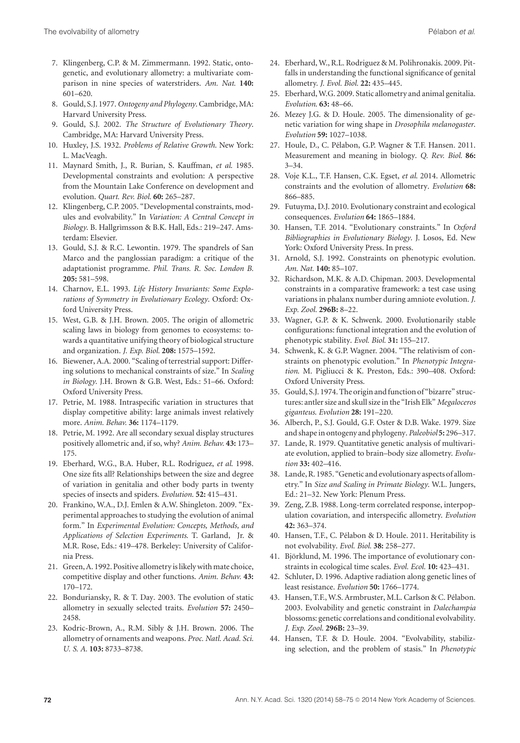- 7. Klingenberg, C.P. & M. Zimmermann. 1992. Static, ontogenetic, and evolutionary allometry: a multivariate comparison in nine species of waterstriders. *Am. Nat.* **140:** 601–620.
- 8. Gould, S.J. 1977. *Ontogeny and Phylogeny*. Cambridge, MA: Harvard University Press.
- 9. Gould, S.J. 2002. *The Structure of Evolutionary Theory*. Cambridge, MA: Harvard University Press.
- 10. Huxley, J.S. 1932. *Problems of Relative Growth*. New York: L. MacVeagh.
- 11. Maynard Smith, J., R. Burian, S. Kauffman, *et al*. 1985. Developmental constraints and evolution: A perspective from the Mountain Lake Conference on development and evolution. *Quart. Rev. Biol.* **60:** 265–287.
- 12. Klingenberg, C.P. 2005. "Developmental constraints, modules and evolvability." In *Variation: A Central Concept in* Biology. B. Hallgrimsson & B.K. Hall, Eds.: 219-247. Amsterdam: Elsevier.
- 13. Gould, S.J. & R.C. Lewontin. 1979. The spandrels of San Marco and the panglossian paradigm: a critique of the adaptationist programme. *Phil. Trans. R. Soc. London B.* **205:** 581–598.
- 14. Charnov, E.L. 1993. *Life History Invariants: Some Explorations of Symmetry in Evolutionary Ecology*. Oxford: Oxford University Press.
- 15. West, G.B. & J.H. Brown. 2005. The origin of allometric scaling laws in biology from genomes to ecosystems: towards a quantitative unifying theory of biological structure and organization. *J. Exp. Biol.* **208:** 1575–1592.
- 16. Biewener, A.A. 2000. "Scaling of terrestrial support: Differing solutions to mechanical constraints of size." In *Scaling in Biology*. J.H. Brown & G.B. West, Eds.: 51–66. Oxford: Oxford University Press.
- 17. Petrie, M. 1988. Intraspecific variation in structures that display competitive ability: large animals invest relatively more. *Anim. Behav.* **36:** 1174–1179.
- 18. Petrie, M. 1992. Are all secondary sexual display structures positively allometric and, if so, why? *Anim. Behav.* **43:** 173– 175.
- 19. Eberhard, W.G., B.A. Huber, R.L. Rodriguez, *et al*. 1998. One size fits all? Relationships between the size and degree of variation in genitalia and other body parts in twenty species of insects and spiders. *Evolution*. **52:** 415–431.
- 20. Frankino, W.A., D.J. Emlen & A.W. Shingleton. 2009. "Experimental approaches to studying the evolution of animal form." In *Experimental Evolution: Concepts, Methods, and Applications of Selection Experiments*. T. Garland, Jr. & M.R. Rose, Eds.: 419–478. Berkeley: University of California Press.
- 21. Green, A. 1992. Positive allometry is likely with mate choice, competitive display and other functions. *Anim. Behav.* **43:** 170–172.
- 22. Bonduriansky, R. & T. Day. 2003. The evolution of static allometry in sexually selected traits. *Evolution* **57:** 2450– 2458.
- 23. Kodric-Brown, A., R.M. Sibly & J.H. Brown. 2006. The allometry of ornaments and weapons. *Proc. Natl. Acad. Sci. U. S. A.* **103:** 8733–8738.
- 24. Eberhard, W., R.L. Rodriguez & M. Polihronakis. 2009. Pitfalls in understanding the functional significance of genital allometry. *J. Evol. Biol.* **22:** 435–445.
- 25. Eberhard, W.G. 2009. Static allometry and animal genitalia. *Evolution*. **63:** 48–66.
- 26. Mezey J.G. & D. Houle. 2005. The dimensionality of genetic variation for wing shape in *Drosophila melanogaster*. *Evolution* **59:** 1027–1038.
- 27. Houle, D., C. Pelabon, G.P. Wagner & T.F. Hansen. 2011. ´ Measurement and meaning in biology. *Q. Rev. Biol.* **86:** 3–34.
- 28. Voje K.L., T.F. Hansen, C.K. Egset, *et al*. 2014. Allometric constraints and the evolution of allometry. *Evolution* **68:** 866–885.
- 29. Futuyma, D.J. 2010. Evolutionary constraint and ecological consequences. *Evolution* **64:** 1865–1884.
- 30. Hansen, T.F. 2014. "Evolutionary constraints." In *Oxford Bibliographies in Evolutionary Biology*. J. Losos, Ed. New York: Oxford University Press. In press.
- 31. Arnold, S.J. 1992. Constraints on phenotypic evolution. *Am. Nat.* **140:** 85–107.
- 32. Richardson, M.K. & A.D. Chipman. 2003. Developmental constraints in a comparative framework: a test case using variations in phalanx number during amniote evolution. *J. Exp. Zool.* **296B:** 8–22.
- 33. Wagner, G.P. & K. Schwenk. 2000. Evolutionarily stable configurations: functional integration and the evolution of phenotypic stability. *Evol. Biol.* **31:** 155–217.
- 34. Schwenk, K. & G.P. Wagner. 2004. "The relativism of constraints on phenotypic evolution." In *Phenotypic Integration*. M. Pigliucci & K. Preston, Eds.: 390–408. Oxford: Oxford University Press.
- 35. Gould, S.J. 1974. The origin and function of "bizarre" structures: antler size and skull size in the "Irish Elk" *Megaloceros giganteus*. *Evolution* **28:** 191–220.
- 36. Alberch, P., S.J. Gould, G.F. Oster & D.B. Wake. 1979. Size and shape in ontogeny and phylogeny. *Paleobiol* **5:** 296–317.
- 37. Lande, R. 1979. Quantitative genetic analysis of multivariate evolution, applied to brain–body size allometry. *Evolution* **33:** 402–416.
- 38. Lande, R. 1985. "Genetic and evolutionary aspects of allometry." In *Size and Scaling in Primate Biology*. W.L. Jungers, Ed.: 21–32. New York: Plenum Press.
- 39. Zeng, Z.B. 1988. Long-term correlated response, interpopulation covariation, and interspecific allometry. *Evolution* **42:** 363–374.
- 40. Hansen, T.F., C. Pelabon & D. Houle. 2011. Heritability is ´ not evolvability. *Evol. Biol.* **38:** 258–277.
- 41. Björklund, M. 1996. The importance of evolutionary constraints in ecological time scales. *Evol. Ecol.* **10:** 423–431.
- 42. Schluter, D. 1996. Adaptive radiation along genetic lines of least resistance. *Evolution* **50:** 1766–1774.
- 43. Hansen, T.F., W.S. Armbruster, M.L. Carlson & C. Pelabon. ´ 2003. Evolvability and genetic constraint in *Dalechampia* blossoms: genetic correlations and conditional evolvability. *J. Exp. Zool*. **296B:** 23–39.
- 44. Hansen, T.F. & D. Houle. 2004. "Evolvability, stabilizing selection, and the problem of stasis." In *Phenotypic*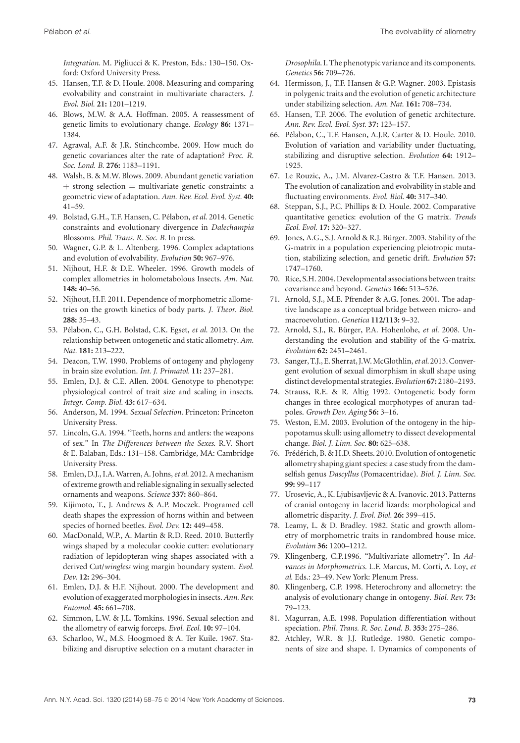*Integration*. M. Pigliucci & K. Preston, Eds.: 130–150. Oxford: Oxford University Press.

- 45. Hansen, T.F. & D. Houle. 2008. Measuring and comparing evolvability and constraint in multivariate characters. *J. Evol. Biol.* **21:** 1201–1219.
- 46. Blows, M.W. & A.A. Hoffman. 2005. A reassessment of genetic limits to evolutionary change. *Ecology* **86:** 1371– 1384.
- 47. Agrawal, A.F. & J.R. Stinchcombe. 2009. How much do genetic covariances alter the rate of adaptation? *Proc. R. Soc. Lond. B.* **276:** 1183–1191.
- 48. Walsh, B. & M.W. Blows. 2009. Abundant genetic variation  $+$  strong selection  $=$  multivariate genetic constraints: a geometric view of adaptation. *Ann. Rev. Ecol. Evol. Syst.* **40:** 41–59.
- 49. Bolstad, G.H., T.F. Hansen, C. Pélabon, et al. 2014. Genetic constraints and evolutionary divergence in *Dalechampia* Blossoms. *Phil. Trans. R. Soc. B.* In press.
- 50. Wagner, G.P. & L. Altenberg. 1996. Complex adaptations and evolution of evolvability. *Evolution* **50:** 967–976.
- 51. Nijhout, H.F. & D.E. Wheeler. 1996. Growth models of complex allometries in holometabolous Insects. *Am. Nat.* **148:** 40–56.
- 52. Nijhout, H.F. 2011. Dependence of morphometric allometries on the growth kinetics of body parts. *J. Theor. Biol.* **288:** 35–43.
- 53. Pélabon, C., G.H. Bolstad, C.K. Egset, et al. 2013. On the relationship between ontogenetic and static allometry. *Am. Nat.* **181:** 213–222.
- 54. Deacon, T.W. 1990. Problems of ontogeny and phylogeny in brain size evolution. *Int. J. Primatol.* **11:** 237–281.
- 55. Emlen, D.J. & C.E. Allen. 2004. Genotype to phenotype: physiological control of trait size and scaling in insects. *Integr. Comp. Biol.* **43:** 617–634.
- 56. Anderson, M. 1994. *Sexual Selection*. Princeton: Princeton University Press.
- 57. Lincoln, G.A. 1994. "Teeth, horns and antlers: the weapons of sex." In *The Differences between the Sexes*. R.V. Short & E. Balaban, Eds.: 131–158. Cambridge, MA: Cambridge University Press.
- 58. Emlen, D.J., I.A. Warren, A. Johns,*et al*. 2012. A mechanism of extreme growth and reliable signaling in sexually selected ornaments and weapons. *Science* **337:** 860–864.
- 59. Kijimoto, T., J. Andrews & A.P. Moczek. Programed cell death shapes the expression of horns within and between species of horned beetles. *Evol. Dev.* **12:** 449–458.
- 60. MacDonald, W.P., A. Martin & R.D. Reed. 2010. Butterfly wings shaped by a molecular cookie cutter: evolutionary radiation of lepidopteran wing shapes associated with a derived Cut/*wingless* wing margin boundary system. *Evol. Dev.* **12:** 296–304.
- 61. Emlen, D.J. & H.F. Nijhout. 2000. The development and evolution of exaggerated morphologies in insects.*Ann. Rev. Entomol.* **45:** 661–708.
- 62. Simmon, L.W. & J.L. Tomkins. 1996. Sexual selection and the allometry of earwig forceps. *Evol. Ecol.* **10:** 97–104.
- 63. Scharloo, W., M.S. Hoogmoed & A. Ter Kuile. 1967. Stabilizing and disruptive selection on a mutant character in

*Drosophila*. I. The phenotypic variance and its components. *Genetics* **56:** 709–726.

- 64. Hermisson, J., T.F. Hansen & G.P. Wagner. 2003. Epistasis in polygenic traits and the evolution of genetic architecture under stabilizing selection. *Am. Nat.* **161:** 708–734.
- 65. Hansen, T.F. 2006. The evolution of genetic architecture. *Ann. Rev. Ecol. Evol. Syst.* **37:** 123–157.
- 66. Pelabon, C., T.F. Hansen, A.J.R. Carter & D. Houle. 2010. ´ Evolution of variation and variability under fluctuating, stabilizing and disruptive selection. *Evolution* **64:** 1912– 1925.
- 67. Le Rouzic, A., J.M. Alvarez-Castro & T.F. Hansen. 2013. The evolution of canalization and evolvability in stable and fluctuating environments. *Evol. Biol.* **40:** 317–340.
- 68. Steppan, S.J., P.C. Phillips & D. Houle. 2002. Comparative quantitative genetics: evolution of the G matrix. *Trends Ecol. Evol.* **17:** 320–327.
- 69. Jones, A.G., S.J. Arnold & R.J. Bürger. 2003. Stability of the G-matrix in a population experiencing pleiotropic mutation, stabilizing selection, and genetic drift. *Evolution* **57:** 1747–1760.
- 70. Rice, S.H. 2004. Developmental associations between traits: covariance and beyond. *Genetics* **166:** 513–526.
- 71. Arnold, S.J., M.E. Pfrender & A.G. Jones. 2001. The adaptive landscape as a conceptual bridge between micro- and macroevolution. *Genetica* **112/113:** 9–32.
- 72. Arnold, S.J., R. Bürger, P.A. Hohenlohe, et al. 2008. Understanding the evolution and stability of the G-matrix. *Evolution* **62:** 2451–2461.
- 73. Sanger, T.J., E. Sherrat, J.W. McGlothlin,*et al*. 2013. Convergent evolution of sexual dimorphism in skull shape using distinct developmental strategies. *Evolution* **67:** 2180–2193.
- 74. Strauss, R.E. & R. Altig 1992. Ontogenetic body form changes in three ecological morphotypes of anuran tadpoles. *Growth Dev. Aging* **56:** 3–16.
- 75. Weston, E.M. 2003. Evolution of the ontogeny in the hippopotamus skull: using allometry to dissect developmental change. *Biol. J. Linn. Soc.* **80:** 625–638.
- 76. Frédérich, B. & H.D. Sheets. 2010. Evolution of ontogenetic allometry shaping giant species: a case study from the damselfish genus *Dascyllus* (Pomacentridae). *Biol. J. Linn. Soc.* **99:** 99–117
- 77. Urosevic, A., K. Ljubisavljevic & A. Ivanovic. 2013. Patterns of cranial ontogeny in lacerid lizards: morphological and allometric disparity. *J. Evol. Biol.* **26:** 399–415.
- 78. Leamy, L. & D. Bradley. 1982. Static and growth allometry of morphometric traits in randombred house mice. *Evolution* **36:** 1200–1212.
- 79. Klingenberg, C.P.1996. "Multivariate allometry". In *Advances in Morphometrics*. L.F. Marcus, M. Corti, A. Loy, *et al*. Eds.: 23–49. New York: Plenum Press.
- 80. Klingenberg, C.P. 1998. Heterochrony and allometry: the analysis of evolutionary change in ontogeny. *Biol. Rev.* **73:** 79–123.
- 81. Magurran, A.E. 1998. Population differentiation without speciation. *Phil. Trans. R. Soc. Lond. B.* **353:** 275–286.
- 82. Atchley, W.R. & J.J. Rutledge. 1980. Genetic components of size and shape. I. Dynamics of components of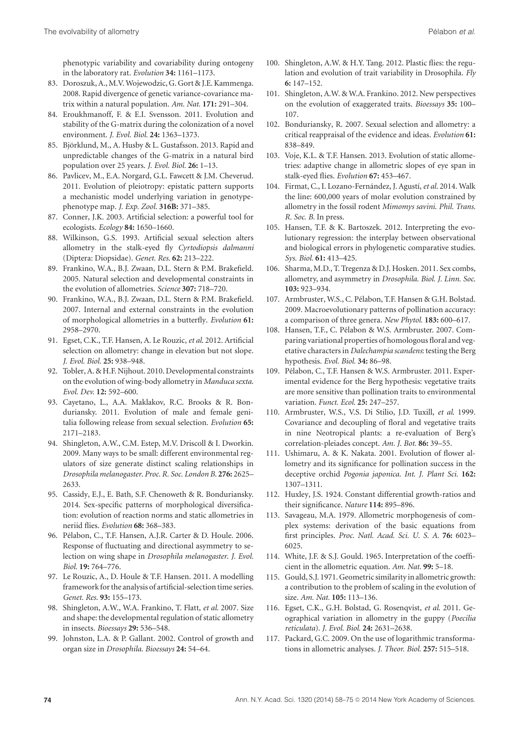phenotypic variability and covariability during ontogeny in the laboratory rat. *Evolution* **34:** 1161–1173.

- 83. Doroszuk, A., M.V. Wojewodzic, G. Gort & J.E. Kammenga. 2008. Rapid divergence of genetic variance-covariance matrix within a natural population. *Am. Nat.* **171:** 291–304.
- 84. Eroukhmanoff, F. & E.I. Svensson. 2011. Evolution and stability of the G-matrix during the colonization of a novel environment. *J. Evol. Biol.* **24:** 1363–1373.
- 85. Björklund, M., A. Husby & L. Gustafsson. 2013. Rapid and unpredictable changes of the G-matrix in a natural bird population over 25 years. *J. Evol. Biol.* **26:** 1–13.
- 86. Pavlicev, M., E.A. Norgard, G.L. Fawcett & J.M. Cheverud. 2011. Evolution of pleiotropy: epistatic pattern supports a mechanistic model underlying variation in genotypephenotype map. *J. Exp. Zool.* **316B:** 371–385.
- 87. Conner, J.K. 2003. Artificial selection: a powerful tool for ecologists. *Ecology* **84:** 1650–1660.
- 88. Wilkinson, G.S. 1993. Artificial sexual selection alters allometry in the stalk-eyed fly *Cyrtodiopsis dalmanni* (Diptera: Diopsidae). *Genet. Res*. **62:** 213–222.
- 89. Frankino, W.A., B.J. Zwaan, D.L. Stern & P.M. Brakefield. 2005. Natural selection and developmental constraints in the evolution of allometries. *Science* **307:** 718–720.
- 90. Frankino, W.A., B.J. Zwaan, D.L. Stern & P.M. Brakefield. 2007. Internal and external constraints in the evolution of morphological allometries in a butterfly. *Evolution* **61:** 2958–2970.
- 91. Egset, C.K., T.F. Hansen, A. Le Rouzic, *et al*. 2012. Artificial selection on allometry: change in elevation but not slope. *J. Evol. Biol.* **25:** 938–948.
- 92. Tobler, A. & H.F. Nijhout. 2010. Developmental constraints on the evolution of wing-body allometry in *Manduca sexta*. *Evol. Dev.* **12:** 592–600.
- 93. Cayetano, L., A.A. Maklakov, R.C. Brooks & R. Bonduriansky. 2011. Evolution of male and female genitalia following release from sexual selection. *Evolution* **65:** 2171–2183.
- 94. Shingleton, A.W., C.M. Estep, M.V. Driscoll & I. Dworkin. 2009. Many ways to be small: different environmental regulators of size generate distinct scaling relationships in *Drosophila melanogaster*. *Proc. R. Soc. London B*. **276:** 2625– 2633.
- 95. Cassidy, E.J., E. Bath, S.F. Chenoweth & R. Bonduriansky. 2014. Sex-specific patterns of morphological diversification: evolution of reaction norms and static allometries in neriid flies. *Evolution* **68:** 368–383.
- 96. Pelabon, C., T.F. Hansen, A.J.R. Carter & D. Houle. 2006. ´ Response of fluctuating and directional asymmetry to selection on wing shape in *Drosophila melanogaster*. *J. Evol. Biol.* **19:** 764–776.
- 97. Le Rouzic, A., D. Houle & T.F. Hansen. 2011. A modelling framework for the analysis of artificial-selection time series. *Genet. Res*. **93:** 155–173.
- 98. Shingleton, A.W., W.A. Frankino, T. Flatt, *et al*. 2007. Size and shape: the developmental regulation of static allometry in insects. *Bioessays* **29:** 536–548.
- 99. Johnston, L.A. & P. Gallant. 2002. Control of growth and organ size in *Drosophila*. *Bioessays* **24:** 54–64.
- 100. Shingleton, A.W. & H.Y. Tang. 2012. Plastic flies: the regulation and evolution of trait variability in Drosophila. *Fly* **6:** 147–152.
- 101. Shingleton, A.W. & W.A. Frankino. 2012. New perspectives on the evolution of exaggerated traits. *Bioessays* **35:** 100– 107.
- 102. Bonduriansky, R. 2007. Sexual selection and allometry: a critical reappraisal of the evidence and ideas. *Evolution* **61:** 838–849.
- 103. Voje, K.L. & T.F. Hansen. 2013. Evolution of static allometries: adaptive change in allometric slopes of eye span in stalk-eyed flies. *Evolution* **67:** 453–467.
- 104. Firmat, C., I. Lozano-Fernández, J. Agustí, et al. 2014. Walk the line: 600,000 years of molar evolution constrained by allometry in the fossil rodent *Mimomys savini*. *Phil. Trans. R. Soc. B.* In press.
- 105. Hansen, T.F. & K. Bartoszek. 2012. Interpreting the evolutionary regression: the interplay between observational and biological errors in phylogenetic comparative studies. *Sys. Biol.* **61:** 413–425.
- 106. Sharma, M.D., T. Tregenza & D.J. Hosken. 2011. Sex combs, allometry, and asymmetry in *Drosophila*. *Biol. J. Linn. Soc*. **103:** 923–934.
- 107. Armbruster, W.S., C. Pelabon, T.F. Hansen & G.H. Bolstad. ´ 2009. Macroevolutionary patterns of pollination accuracy: a comparison of three genera. *New Phytol.* **183:** 600–617.
- 108. Hansen, T.F., C. Pélabon & W.S. Armbruster. 2007. Comparing variational properties of homologous floral and vegetative characters in *Dalechampia scandens*: testing the Berg hypothesis. *Evol. Biol.* **34:** 86–98.
- 109. Pélabon, C., T.F. Hansen & W.S. Armbruster. 2011. Experimental evidence for the Berg hypothesis: vegetative traits are more sensitive than pollination traits to environmental variation. *Funct. Ecol.* **25:** 247–257.
- 110. Armbruster, W.S., V.S. Di Stilio, J.D. Tuxill, *et al*. 1999. Covariance and decoupling of floral and vegetative traits in nine Neotropical plants: a re-evaluation of Berg's correlation-pleiades concept. *Am. J. Bot.* **86:** 39–55.
- 111. Ushimaru, A. & K. Nakata. 2001. Evolution of flower allometry and its significance for pollination success in the deceptive orchid *Pogonia japonica*. *Int. J. Plant Sci.* **162:** 1307–1311.
- 112. Huxley, J.S. 1924. Constant differential growth-ratios and their significance. *Nature* **114:** 895–896.
- 113. Savageau, M.A. 1979. Allometric morphogenesis of complex systems: derivation of the basic equations from first principles. *Proc. Natl. Acad. Sci. U. S. A.* **76:** 6023– 6025.
- 114. White, J.F. & S.J. Gould. 1965. Interpretation of the coefficient in the allometric equation. *Am. Nat.* **99:** 5–18.
- 115. Gould, S.J. 1971. Geometric similarity in allometric growth: a contribution to the problem of scaling in the evolution of size. *Am. Nat.* **105:** 113–136.
- 116. Egset, C.K., G.H. Bolstad, G. Rosenqvist, *et al*. 2011. Geographical variation in allometry in the guppy (*Poecilia reticulata*). *J. Evol. Biol.* **24:** 2631–2638.
- 117. Packard, G.C. 2009. On the use of logarithmic transformations in allometric analyses. *J. Theor. Biol.* **257:** 515–518.